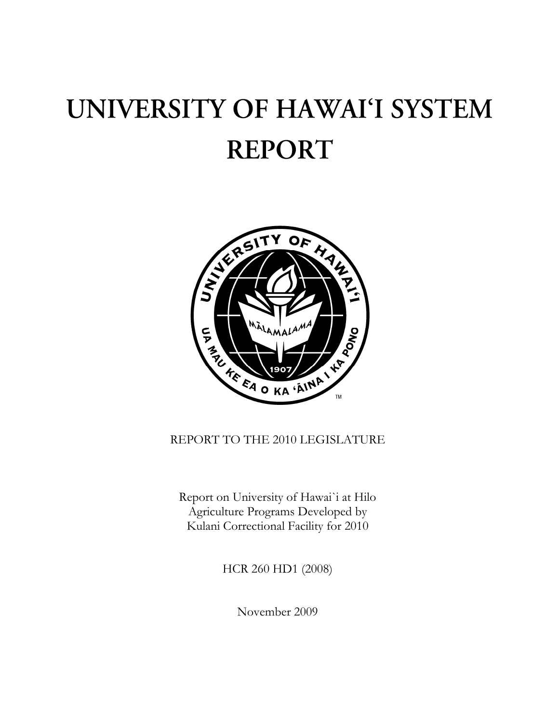## UNIVERSITY OF HAWAI'I SYSTEM **REPORT**



## REPORT TO THE 2010 LEGISLATURE

Report on University of Hawai`i at Hilo Agriculture Programs Developed by Kulani Correctional Facility for 2010

HCR 260 HD1 (2008)

November 2009